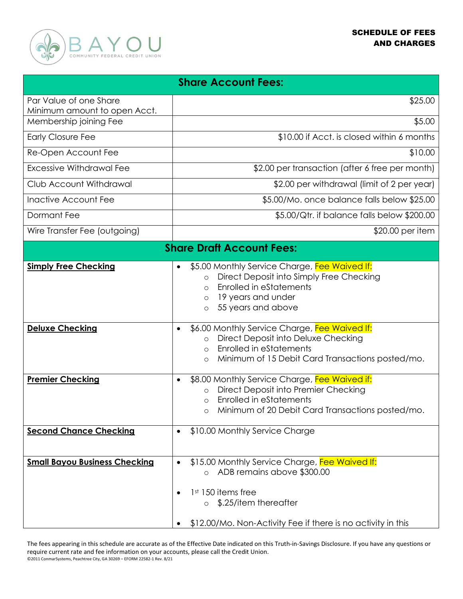

| <b>Share Account Fees:</b>                             |                                                                                                                                                                                                                      |  |
|--------------------------------------------------------|----------------------------------------------------------------------------------------------------------------------------------------------------------------------------------------------------------------------|--|
| Par Value of one Share                                 | \$25.00                                                                                                                                                                                                              |  |
| Minimum amount to open Acct.<br>Membership joining Fee | \$5.00                                                                                                                                                                                                               |  |
| <b>Early Closure Fee</b>                               | \$10.00 if Acct. is closed within 6 months                                                                                                                                                                           |  |
| Re-Open Account Fee                                    | \$10.00                                                                                                                                                                                                              |  |
| Excessive Withdrawal Fee                               | \$2.00 per transaction (after 6 free per month)                                                                                                                                                                      |  |
| Club Account Withdrawal                                | \$2.00 per withdrawal (limit of 2 per year)                                                                                                                                                                          |  |
| Inactive Account Fee                                   | \$5.00/Mo. once balance falls below \$25.00                                                                                                                                                                          |  |
| Dormant Fee                                            | \$5.00/Qtr. if balance falls below \$200.00                                                                                                                                                                          |  |
| Wire Transfer Fee (outgoing)                           | \$20.00 per item                                                                                                                                                                                                     |  |
| <b>Share Draft Account Fees:</b>                       |                                                                                                                                                                                                                      |  |
| <b>Simply Free Checking</b>                            | \$5.00 Monthly Service Charge, Fee Waived If:<br>Direct Deposit into Simply Free Checking<br>$\Omega$<br><b>Enrolled in eStatements</b><br>$\circ$<br>19 years and under<br>$\circ$<br>55 years and above<br>$\circ$ |  |
| <b>Deluxe Checking</b>                                 | \$6.00 Monthly Service Charge, Fee Waived If:<br>Direct Deposit into Deluxe Checking<br>$\circ$<br>Enrolled in eStatements<br>$\circ$<br>Minimum of 15 Debit Card Transactions posted/mo.<br>$\circ$                 |  |
| <b>Premier Checking</b>                                | \$8.00 Monthly Service Charge, Fee Waived if:<br>Direct Deposit into Premier Checking<br>$\circ$<br><b>Enrolled in eStatements</b><br>$\bigcirc$<br>Minimum of 20 Debit Card Transactions posted/mo.<br>$\circ$      |  |
| <b>Second Chance Checking</b>                          | \$10.00 Monthly Service Charge<br>$\bullet$                                                                                                                                                                          |  |
| <b>Small Bayou Business Checking</b>                   | \$15.00 Monthly Service Charge, Fee Waived If:<br>ADB remains above \$300.00<br>$\circ$<br>1 <sup>st</sup> 150 items free<br>\$.25/item thereafter<br>\$12.00/Mo. Non-Activity Fee if there is no activity in this   |  |

The fees appearing in this schedule are accurate as of the Effective Date indicated on this Truth-in-Savings Disclosure. If you have any questions or require current rate and fee information on your accounts, please call the Credit Union. ©2011 ConmarSystems, Peachtree City, GA 30269 – EFORM 22582-1 Rev. 8/21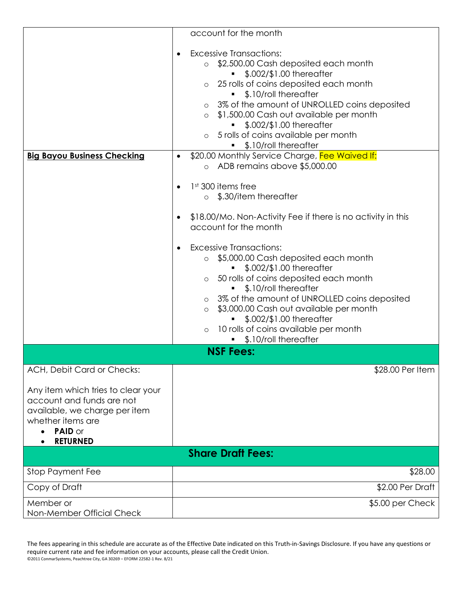|                                                                                                                                                     | account for the month                                                                                                                                                                                                                                                                                                                                                                                                                                                                                                                                            |  |
|-----------------------------------------------------------------------------------------------------------------------------------------------------|------------------------------------------------------------------------------------------------------------------------------------------------------------------------------------------------------------------------------------------------------------------------------------------------------------------------------------------------------------------------------------------------------------------------------------------------------------------------------------------------------------------------------------------------------------------|--|
|                                                                                                                                                     | <b>Excessive Transactions:</b><br>$\bullet$<br>\$2,500.00 Cash deposited each month<br>$\circ$<br>\$.002/\$1.00 thereafter<br>25 rolls of coins deposited each month<br>$\circ$<br>\$.10/roll thereafter<br>o 3% of the amount of UNROLLED coins deposited<br>\$1,500.00 Cash out available per month<br>\$.002/\$1.00 thereafter<br>o 5 rolls of coins available per month<br>\$.10/roll thereafter                                                                                                                                                             |  |
| <b>Big Bayou Business Checking</b>                                                                                                                  | \$20.00 Monthly Service Charge, Fee Waived If:<br>o ADB remains above \$5,000.00                                                                                                                                                                                                                                                                                                                                                                                                                                                                                 |  |
|                                                                                                                                                     | 1 <sup>st</sup> 300 items free<br>\$.30/item thereafter<br>$\circ$<br>\$18.00/Mo. Non-Activity Fee if there is no activity in this<br>account for the month<br><b>Excessive Transactions:</b><br>\$5,000.00 Cash deposited each month<br>$\circ$<br>\$.002/\$1.00 thereafter<br>50 rolls of coins deposited each month<br>\$.10/roll thereafter<br>o 3% of the amount of UNROLLED coins deposited<br>\$3,000.00 Cash out available per month<br>$\circ$<br>\$.002/\$1.00 thereafter<br>10 rolls of coins available per month<br>$\circ$<br>\$.10/roll thereafter |  |
| <b>NSF Fees:</b>                                                                                                                                    |                                                                                                                                                                                                                                                                                                                                                                                                                                                                                                                                                                  |  |
| ACH, Debit Card or Checks:                                                                                                                          | \$28.00 Per Item                                                                                                                                                                                                                                                                                                                                                                                                                                                                                                                                                 |  |
| Any item which tries to clear your<br>account and funds are not<br>available, we charge per item<br>whether items are<br>PAID or<br><b>RETURNED</b> |                                                                                                                                                                                                                                                                                                                                                                                                                                                                                                                                                                  |  |
|                                                                                                                                                     | <b>Share Draft Fees:</b>                                                                                                                                                                                                                                                                                                                                                                                                                                                                                                                                         |  |
| Stop Payment Fee                                                                                                                                    | \$28.00                                                                                                                                                                                                                                                                                                                                                                                                                                                                                                                                                          |  |
| Copy of Draft                                                                                                                                       | \$2.00 Per Draft                                                                                                                                                                                                                                                                                                                                                                                                                                                                                                                                                 |  |
| Member or<br>Non-Member Official Check                                                                                                              | \$5.00 per Check                                                                                                                                                                                                                                                                                                                                                                                                                                                                                                                                                 |  |

The fees appearing in this schedule are accurate as of the Effective Date indicated on this Truth-in-Savings Disclosure. If you have any questions or require current rate and fee information on your accounts, please call the Credit Union. ©2011 ConmarSystems, Peachtree City, GA 30269 – EFORM 22582-1 Rev. 8/21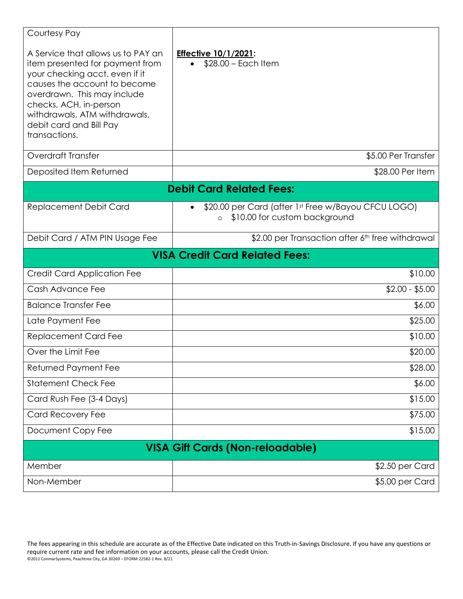| Courtesy Pay                                                                                                                                                                                                                                                                  |                                                                                                 |  |
|-------------------------------------------------------------------------------------------------------------------------------------------------------------------------------------------------------------------------------------------------------------------------------|-------------------------------------------------------------------------------------------------|--|
| A Service that allows us to PAY an<br>item presented for payment from<br>your checking acct. even if it<br>causes the account to become<br>overdrawn. This may include<br>checks, ACH, in-person<br>withdrawals, ATM withdrawals,<br>debit card and Bill Pay<br>transactions. | <b>Effective 10/1/2021:</b><br>$$28.00 - Each Item$                                             |  |
| <b>Overdraft Transfer</b>                                                                                                                                                                                                                                                     | \$5.00 Per Transfer                                                                             |  |
| Deposited Item Returned                                                                                                                                                                                                                                                       | \$28.00 Per Item                                                                                |  |
| <b>Debit Card Related Fees:</b>                                                                                                                                                                                                                                               |                                                                                                 |  |
| Replacement Debit Card                                                                                                                                                                                                                                                        | \$20.00 per Card (after 1st Free w/Bayou CFCU LOGO)<br>\$10.00 for custom background<br>$\circ$ |  |
| Debit Card / ATM PIN Usage Fee                                                                                                                                                                                                                                                | \$2.00 per Transaction after 6 <sup>th</sup> free withdrawal                                    |  |
| <b>VISA Credit Card Related Fees:</b>                                                                                                                                                                                                                                         |                                                                                                 |  |
| <b>Credit Card Application Fee</b>                                                                                                                                                                                                                                            | \$10.00                                                                                         |  |
| Cash Advance Fee                                                                                                                                                                                                                                                              | $$2.00 - $5.00$                                                                                 |  |
| <b>Balance Transfer Fee</b>                                                                                                                                                                                                                                                   | \$6.00                                                                                          |  |
| Late Payment Fee                                                                                                                                                                                                                                                              | \$25.00                                                                                         |  |
| <b>Replacement Card Fee</b>                                                                                                                                                                                                                                                   | \$10.00                                                                                         |  |
| Over the Limit Fee                                                                                                                                                                                                                                                            | \$20.00                                                                                         |  |
| Returned Payment Fee                                                                                                                                                                                                                                                          | \$28.00                                                                                         |  |
| <b>Statement Check Fee</b>                                                                                                                                                                                                                                                    | \$6.00                                                                                          |  |
| Card Rush Fee (3-4 Days)                                                                                                                                                                                                                                                      | \$15.00                                                                                         |  |
| <b>Card Recovery Fee</b>                                                                                                                                                                                                                                                      | \$75.00                                                                                         |  |
| Document Copy Fee                                                                                                                                                                                                                                                             | \$15.00                                                                                         |  |
| <b>VISA Gift Cards (Non-reloadable)</b>                                                                                                                                                                                                                                       |                                                                                                 |  |
| Member                                                                                                                                                                                                                                                                        | \$2.50 per Card                                                                                 |  |
| Non-Member                                                                                                                                                                                                                                                                    | \$5.00 per Card                                                                                 |  |

The fees appearing in this schedule are accurate as of the Effective Date indicated on this Truth-in-Savings Disclosure. If you have any questions or require current rate and fee information on your accounts, please call the Credit Union. ©2011 ConmarSystems, Peachtree City, GA 30269 – EFORM 22582-1 Rev. 8/21